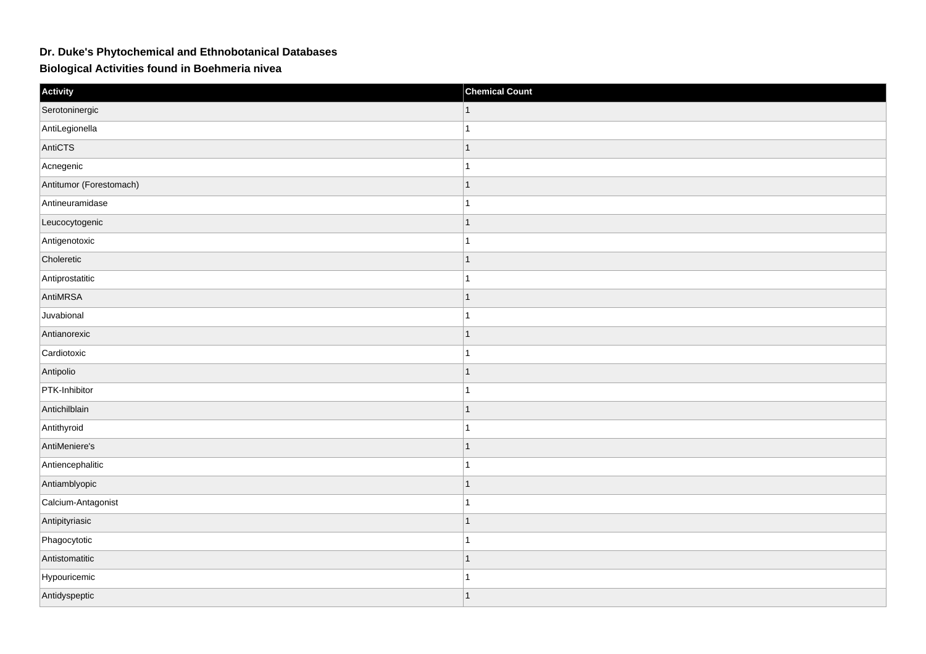## **Dr. Duke's Phytochemical and Ethnobotanical Databases**

**Biological Activities found in Boehmeria nivea**

| Activity                | <b>Chemical Count</b> |
|-------------------------|-----------------------|
| Serotoninergic          |                       |
| AntiLegionella          |                       |
| AntiCTS                 | $\mathbf{1}$          |
| Acnegenic               | $\overline{1}$        |
| Antitumor (Forestomach) | $\mathbf{1}$          |
| Antineuramidase         | $\overline{1}$        |
| Leucocytogenic          |                       |
| Antigenotoxic           |                       |
| Choleretic              | $\mathbf{1}$          |
| Antiprostatitic         | $\overline{1}$        |
| AntiMRSA                | $\mathbf{1}$          |
| Juvabional              | $\overline{1}$        |
| Antianorexic            | $\mathbf{1}$          |
| Cardiotoxic             | 1                     |
| Antipolio               | $\overline{1}$        |
| PTK-Inhibitor           | $\overline{1}$        |
| Antichilblain           | $\mathbf{1}$          |
| Antithyroid             |                       |
| AntiMeniere's           | $\mathbf{1}$          |
| Antiencephalitic        |                       |
| Antiamblyopic           | $\overline{1}$        |
| Calcium-Antagonist      | $\overline{1}$        |
| Antipityriasic          | $\mathbf{1}$          |
| Phagocytotic            |                       |
| Antistomatitic          | $\mathbf{1}$          |
| Hypouricemic            |                       |
| Antidyspeptic           | $\mathbf{1}$          |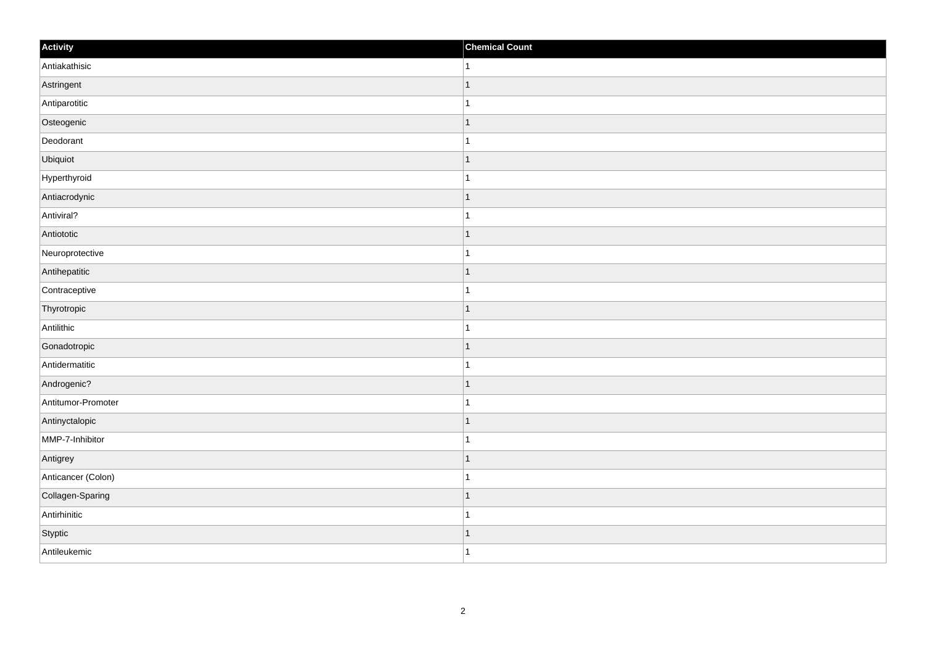| Activity           | <b>Chemical Count</b>    |
|--------------------|--------------------------|
| Antiakathisic      | 1                        |
| Astringent         | $\overline{ }$           |
| Antiparotitic      |                          |
| Osteogenic         | ∣ 1                      |
| Deodorant          | 1                        |
| Ubiquiot           | f.                       |
| Hyperthyroid       |                          |
| Antiacrodynic      | $\overline{1}$           |
| Antiviral?         |                          |
| Antiototic         | 1                        |
| Neuroprotective    | 1                        |
| Antihepatitic      |                          |
| Contraceptive      | -1                       |
| Thyrotropic        | 1                        |
| Antilithic         |                          |
| Gonadotropic       | 1                        |
| Antidermatitic     | 1                        |
| Androgenic?        | $\overline{\phantom{a}}$ |
| Antitumor-Promoter | 1                        |
| Antinyctalopic     | $\overline{\phantom{a}}$ |
| MMP-7-Inhibitor    | 1                        |
| Antigrey           | $\vert$ 1                |
| Anticancer (Colon) | -1                       |
| Collagen-Sparing   | $\overline{\phantom{a}}$ |
| Antirhinitic       |                          |
| Styptic            | 1                        |
| Antileukemic       | $\overline{1}$           |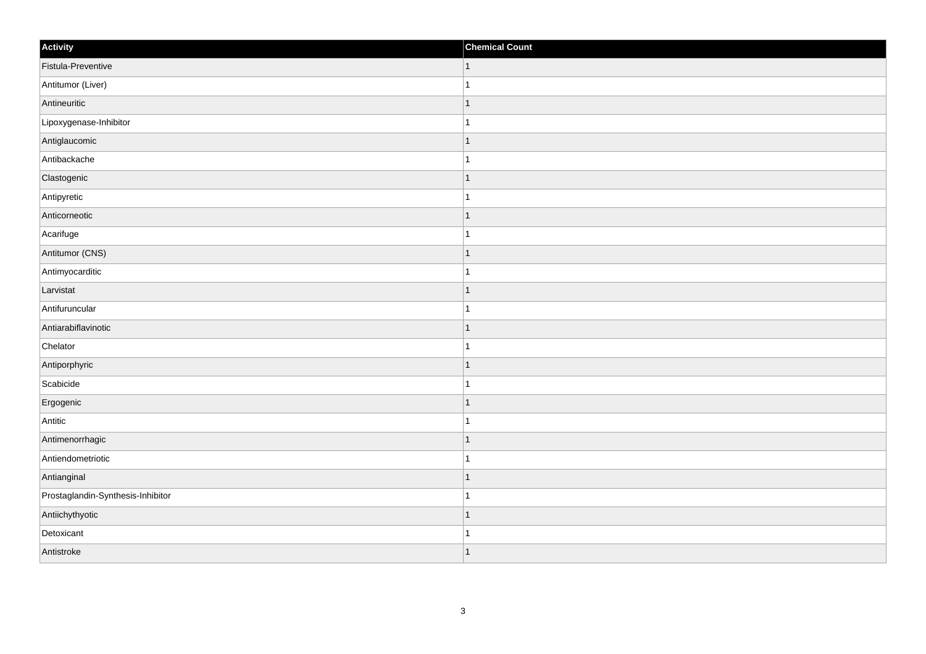| Activity                          | <b>Chemical Count</b> |
|-----------------------------------|-----------------------|
| Fistula-Preventive                | $\vert$ 1             |
| Antitumor (Liver)                 |                       |
| Antineuritic                      |                       |
| Lipoxygenase-Inhibitor            |                       |
| Antiglaucomic                     |                       |
| Antibackache                      |                       |
| Clastogenic                       | 1                     |
| Antipyretic                       | 1                     |
| Anticorneotic                     |                       |
| Acarifuge                         |                       |
| Antitumor (CNS)                   |                       |
| Antimyocarditic                   |                       |
| Larvistat                         | 1                     |
| Antifuruncular                    | 1                     |
| Antiarabiflavinotic               |                       |
| Chelator                          |                       |
| Antiporphyric                     |                       |
| Scabicide                         |                       |
| Ergogenic                         | 1                     |
| Antitic                           | -1                    |
| Antimenorrhagic                   | ٠                     |
| Antiendometriotic                 |                       |
| Antianginal                       | 1                     |
| Prostaglandin-Synthesis-Inhibitor |                       |
| Antiichythyotic                   | 1                     |
| Detoxicant                        |                       |
| Antistroke                        | $\overline{ }$        |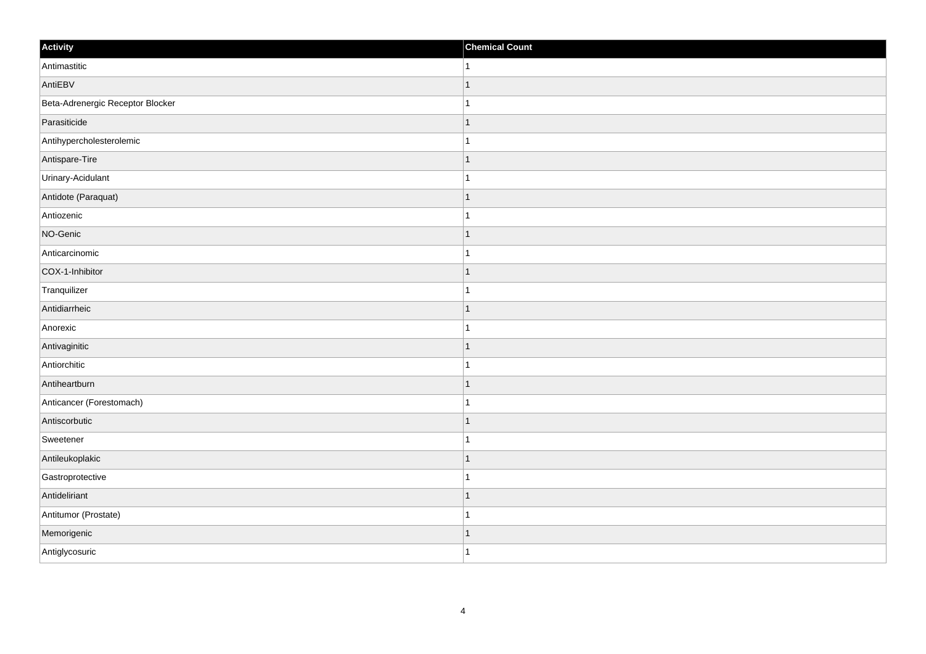| Activity                         | <b>Chemical Count</b> |
|----------------------------------|-----------------------|
| Antimastitic                     | 1                     |
| AntiEBV                          |                       |
| Beta-Adrenergic Receptor Blocker |                       |
| Parasiticide                     | -1                    |
| Antihypercholesterolemic         |                       |
| Antispare-Tire                   |                       |
| Urinary-Acidulant                |                       |
| Antidote (Paraquat)              |                       |
| Antiozenic                       |                       |
| NO-Genic                         | -1                    |
| Anticarcinomic                   | 1                     |
| COX-1-Inhibitor                  |                       |
| Tranquilizer                     |                       |
| Antidiarrheic                    |                       |
| Anorexic                         |                       |
| Antivaginitic                    | -1                    |
| Antiorchitic                     | 1                     |
| Antiheartburn                    |                       |
| Anticancer (Forestomach)         |                       |
| Antiscorbutic                    |                       |
| Sweetener                        |                       |
| Antileukoplakic                  | 1                     |
| Gastroprotective                 | 1                     |
| Antideliriant                    |                       |
| Antitumor (Prostate)             |                       |
| Memorigenic                      |                       |
| Antiglycosuric                   | -1                    |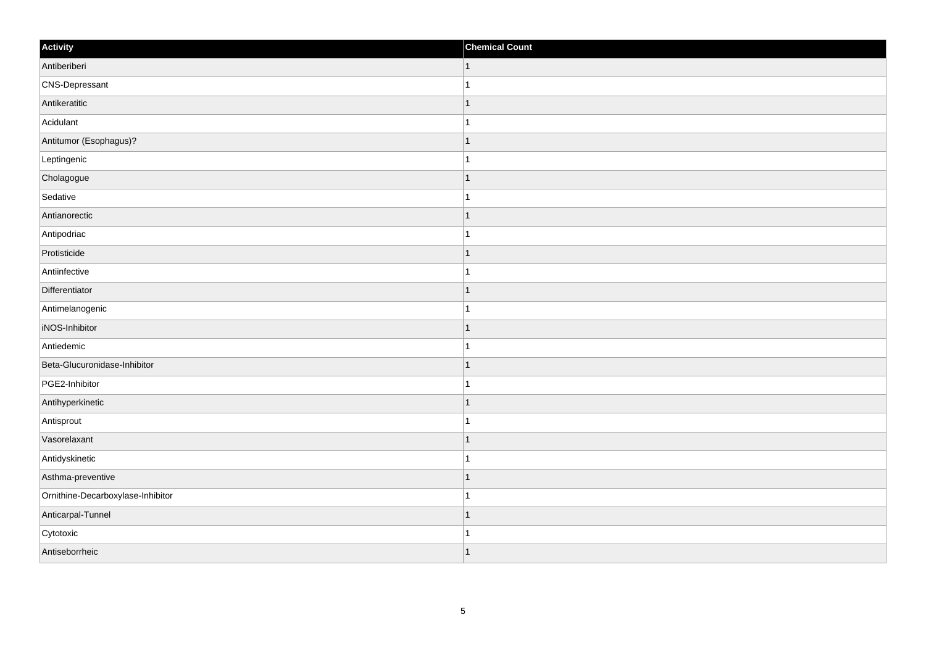| Activity                          | <b>Chemical Count</b> |
|-----------------------------------|-----------------------|
| Antiberiberi                      | $\vert$ 1             |
| CNS-Depressant                    | $\overline{1}$        |
| Antikeratitic                     | $\mathbf{1}$          |
| Acidulant                         | $\mathbf{1}$          |
| Antitumor (Esophagus)?            | $\overline{1}$        |
| Leptingenic                       | $\overline{1}$        |
| Cholagogue                        | $\mathbf{1}$          |
| Sedative                          | $\mathbf{1}$          |
| Antianorectic                     | $\overline{1}$        |
| Antipodriac                       | $\mathbf{1}$          |
| Protisticide                      | $\overline{1}$        |
| Antiinfective                     | $\overline{1}$        |
| Differentiator                    | $\mathbf{1}$          |
| Antimelanogenic                   | $\mathbf{1}$          |
| iNOS-Inhibitor                    | $\overline{1}$        |
| Antiedemic                        | $\mathbf{1}$          |
| Beta-Glucuronidase-Inhibitor      | $\overline{1}$        |
| PGE2-Inhibitor                    | -1                    |
| Antihyperkinetic                  | $\mathbf{1}$          |
| Antisprout                        | $\overline{1}$        |
| Vasorelaxant                      | $\overline{1}$        |
| Antidyskinetic                    | $\mathbf{1}$          |
| Asthma-preventive                 | $\overline{1}$        |
| Ornithine-Decarboxylase-Inhibitor | $\overline{1}$        |
| Anticarpal-Tunnel                 | $\mathbf{1}$          |
| Cytotoxic                         | $\overline{1}$        |
| Antiseborrheic                    | $\vert$ 1             |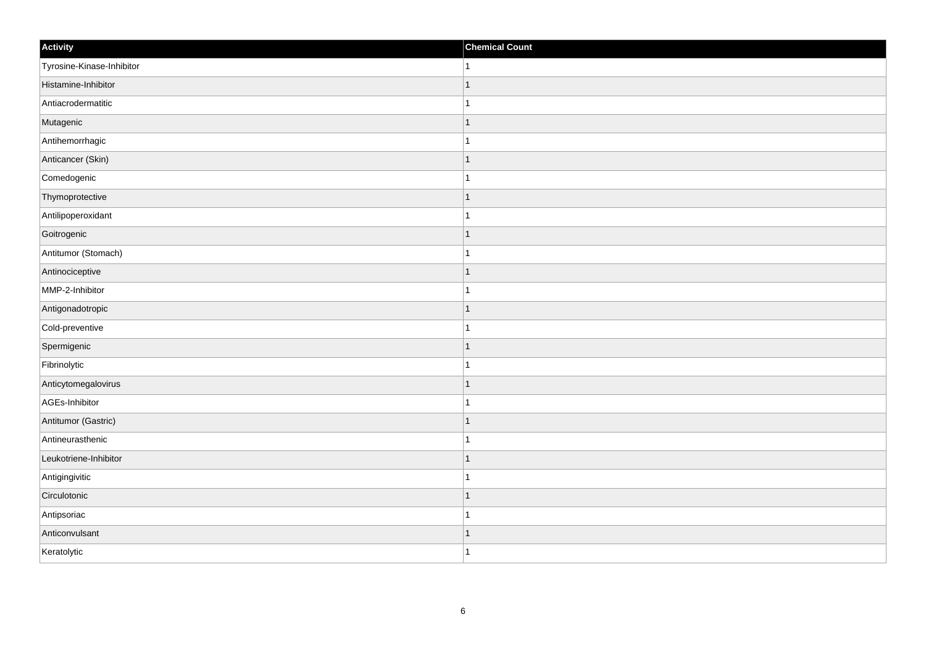| Activity                  | <b>Chemical Count</b> |
|---------------------------|-----------------------|
| Tyrosine-Kinase-Inhibitor | $\mathbf{1}$          |
| Histamine-Inhibitor       | $\mathbf{1}$          |
| Antiacrodermatitic        | $\mathbf 1$           |
| Mutagenic                 | $\mathbf{1}$          |
| Antihemorrhagic           | $\mathbf{1}$          |
| Anticancer (Skin)         | $\mathbf{1}$          |
| Comedogenic               | $\mathbf{1}$          |
| Thymoprotective           | $\mathbf{1}$          |
| Antilipoperoxidant        | $\mathbf{1}$          |
| Goitrogenic               | $\mathbf{1}$          |
| Antitumor (Stomach)       | $\mathbf{1}$          |
| Antinociceptive           | $\mathbf{1}$          |
| MMP-2-Inhibitor           | $\mathbf{1}$          |
| Antigonadotropic          | $\mathbf{1}$          |
| Cold-preventive           | $\mathbf{1}$          |
| Spermigenic               | $\vert$ 1             |
| Fibrinolytic              | $\mathbf{1}$          |
| Anticytomegalovirus       | $\vert$ 1             |
| AGEs-Inhibitor            | $\mathbf{1}$          |
| Antitumor (Gastric)       | $\mathbf{1}$          |
| Antineurasthenic          | $\mathbf{1}$          |
| Leukotriene-Inhibitor     | $\vert$ 1             |
| Antigingivitic            | $\mathbf{1}$          |
| Circulotonic              | $\mathbf{1}$          |
| Antipsoriac               | $\mathbf{1}$          |
| Anticonvulsant            | $\mathbf{1}$          |
| Keratolytic               | $\vert$ 1             |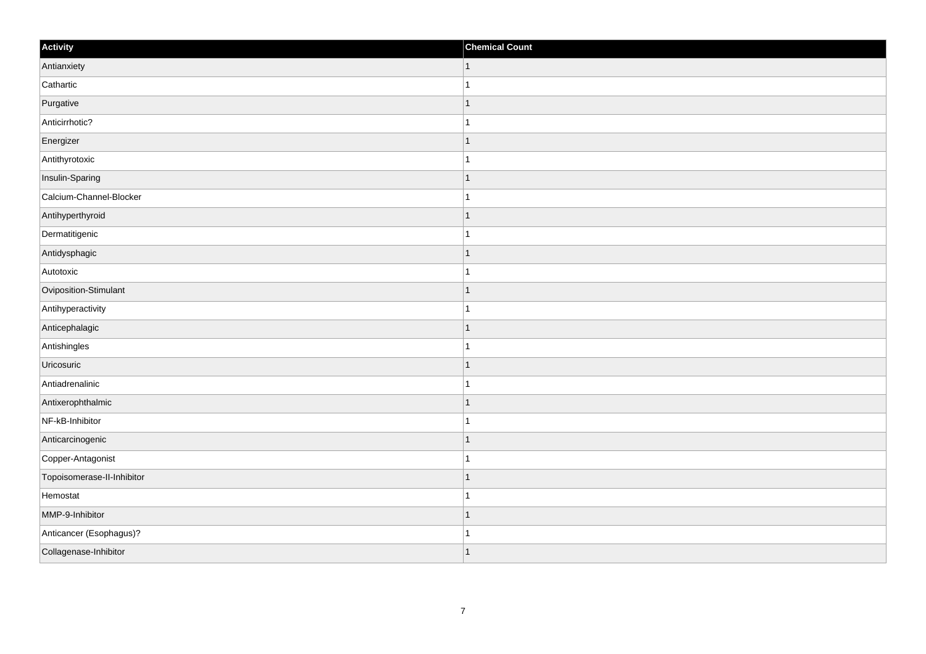| Activity                   | <b>Chemical Count</b>    |
|----------------------------|--------------------------|
| Antianxiety                | $\vert$ 1                |
| Cathartic                  |                          |
| Purgative                  |                          |
| Anticirrhotic?             |                          |
| Energizer                  |                          |
| Antithyrotoxic             |                          |
| Insulin-Sparing            | -1                       |
| Calcium-Channel-Blocker    | 1                        |
| Antihyperthyroid           |                          |
| Dermatitigenic             |                          |
| Antidysphagic              |                          |
| Autotoxic                  |                          |
| Oviposition-Stimulant      | $\overline{\phantom{a}}$ |
| Antihyperactivity          | 1                        |
| Anticephalagic             |                          |
| Antishingles               |                          |
| Uricosuric                 |                          |
| Antiadrenalinic            |                          |
| Antixerophthalmic          |                          |
| NF-kB-Inhibitor            | 1                        |
| Anticarcinogenic           |                          |
| Copper-Antagonist          |                          |
| Topoisomerase-II-Inhibitor |                          |
| Hemostat                   |                          |
| MMP-9-Inhibitor            |                          |
| Anticancer (Esophagus)?    |                          |
| Collagenase-Inhibitor      |                          |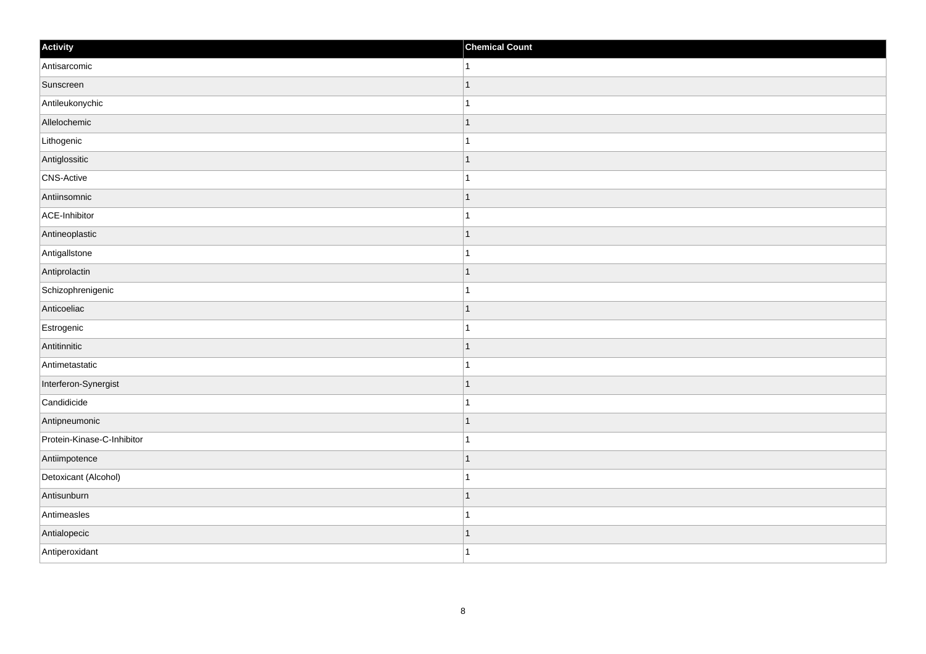| Activity                   | <b>Chemical Count</b> |
|----------------------------|-----------------------|
| Antisarcomic               | $\vert$ 1             |
| Sunscreen                  | $\overline{1}$        |
| Antileukonychic            |                       |
| Allelochemic               | $\mathbf 1$           |
| Lithogenic                 | $\mathbf{1}$          |
| Antiglossitic              | -1                    |
| CNS-Active                 | $\overline{1}$        |
| Antiinsomnic               | $\mathbf 1$           |
| ACE-Inhibitor              |                       |
| Antineoplastic             | $\mathbf{1}$          |
| AntigalIstone              | $\mathbf{1}$          |
| Antiprolactin              | $\mathbf 1$           |
| Schizophrenigenic          | $\mathbf{1}$          |
| Anticoeliac                | 1                     |
| Estrogenic                 |                       |
| Antitinnitic               | $\mathbf{1}$          |
| Antimetastatic             | $\mathbf{1}$          |
| Interferon-Synergist       | 1                     |
| Candidicide                | $\mathbf{1}$          |
| Antipneumonic              | 1                     |
| Protein-Kinase-C-Inhibitor |                       |
| Antiimpotence              | $\mathbf{1}$          |
| Detoxicant (Alcohol)       | $\mathbf{1}$          |
| Antisunburn                | $\mathbf 1$           |
| Antimeasles                | 1                     |
| Antialopecic               | 1                     |
| Antiperoxidant             | $\mathbf{1}$          |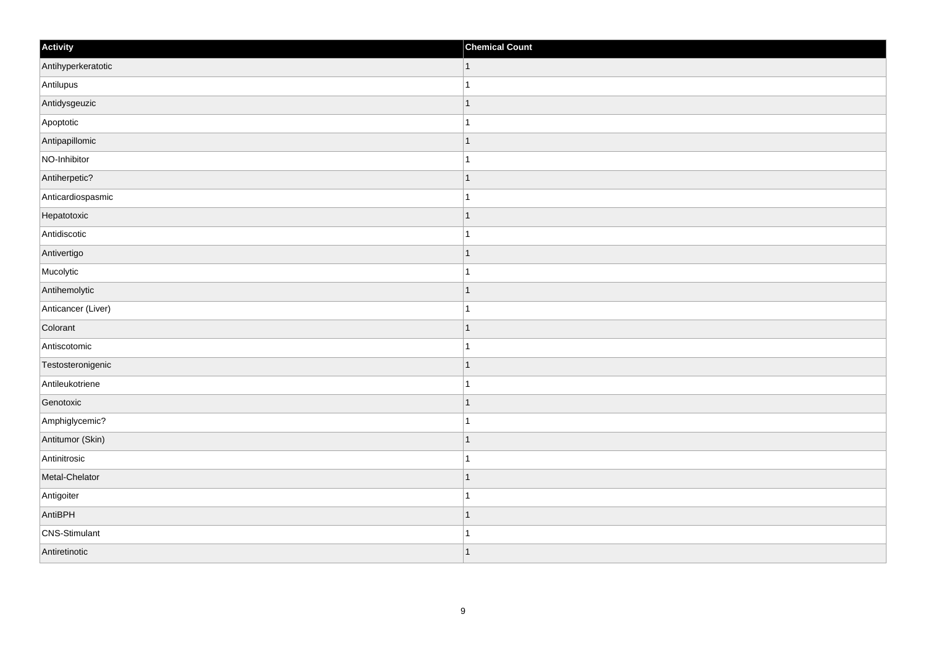| Activity           | <b>Chemical Count</b>    |
|--------------------|--------------------------|
| Antihyperkeratotic | $\vert$ 1                |
| Antilupus          |                          |
| Antidysgeuzic      | -1                       |
| Apoptotic          |                          |
| Antipapillomic     | -1                       |
| NO-Inhibitor       |                          |
| Antiherpetic?      | 1                        |
| Anticardiospasmic  | 1                        |
| Hepatotoxic        |                          |
| Antidiscotic       |                          |
| Antivertigo        | -1                       |
| Mucolytic          |                          |
| Antihemolytic      | 1                        |
| Anticancer (Liver) | 1                        |
| Colorant           | f.                       |
| Antiscotomic       |                          |
| Testosteronigenic  | $\overline{\phantom{a}}$ |
| Antileukotriene    |                          |
| Genotoxic          | 1                        |
| Amphiglycemic?     | -1                       |
| Antitumor (Skin)   | $\overline{\phantom{a}}$ |
| Antinitrosic       |                          |
| Metal-Chelator     | -1                       |
| Antigoiter         |                          |
| AntiBPH            | $\overline{\phantom{a}}$ |
| CNS-Stimulant      |                          |
| Antiretinotic      | $\overline{ }$           |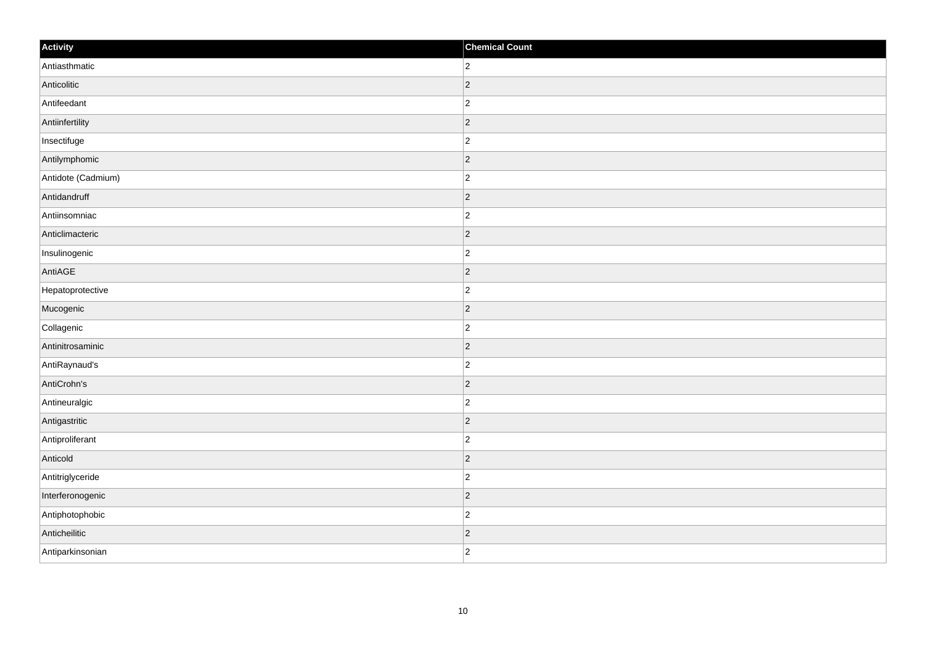| Activity           | <b>Chemical Count</b> |
|--------------------|-----------------------|
| Antiasthmatic      | $\overline{2}$        |
| Anticolitic        | $ 2\rangle$           |
| Antifeedant        | $\overline{c}$        |
| Antiinfertility    | $ 2\rangle$           |
| Insectifuge        | $\overline{c}$        |
| Antilymphomic      | $ 2\rangle$           |
| Antidote (Cadmium) | $\overline{c}$        |
| Antidandruff       | $\overline{2}$        |
| Antiinsomniac      | $ 2\rangle$           |
| Anticlimacteric    | $ 2\rangle$           |
| Insulinogenic      | $\overline{c}$        |
| AntiAGE            | $ 2\rangle$           |
| Hepatoprotective   | $ 2\rangle$           |
| Mucogenic          | $ 2\rangle$           |
| Collagenic         | $ 2\rangle$           |
| Antinitrosaminic   | $ 2\rangle$           |
| AntiRaynaud's      | $\overline{c}$        |
| AntiCrohn's        | $ 2\rangle$           |
| Antineuralgic      | $ 2\rangle$           |
| Antigastritic      | $ 2\rangle$           |
| Antiproliferant    | $\overline{c}$        |
| Anticold           | $ 2\rangle$           |
| Antitriglyceride   | $\overline{c}$        |
| Interferonogenic   | $ 2\rangle$           |
| Antiphotophobic    | $ 2\rangle$           |
| Anticheilitic      | $ 2\rangle$           |
| Antiparkinsonian   | $\overline{2}$        |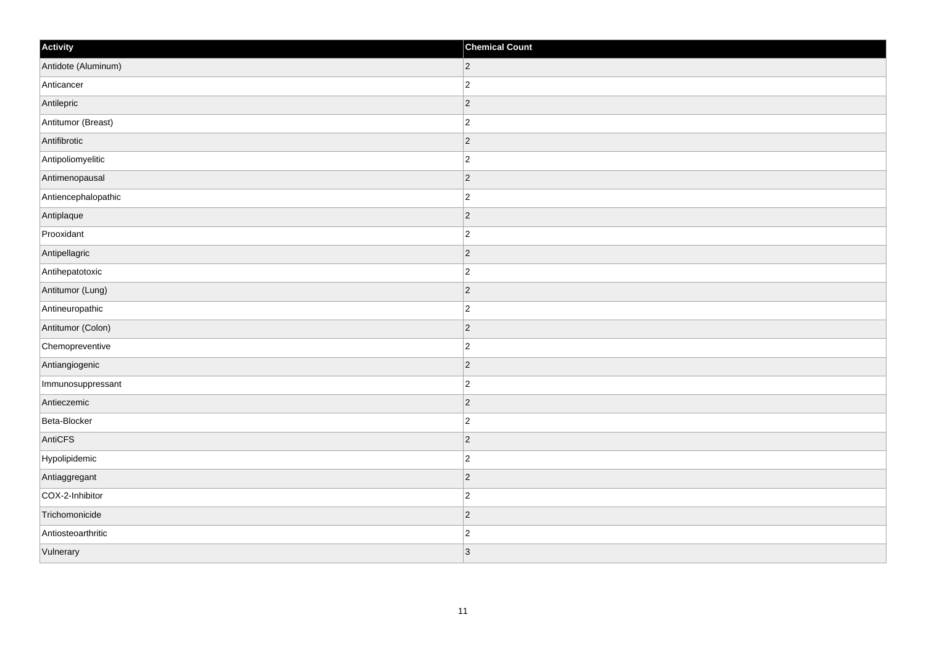| Activity            | <b>Chemical Count</b> |
|---------------------|-----------------------|
| Antidote (Aluminum) | $ 2\rangle$           |
| Anticancer          | $\overline{2}$        |
| Antilepric          | $ 2\rangle$           |
| Antitumor (Breast)  | $\overline{c}$        |
| Antifibrotic        | $\overline{2}$        |
| Antipoliomyelitic   | $\overline{2}$        |
| Antimenopausal      | $ 2\rangle$           |
| Antiencephalopathic | $\overline{c}$        |
| Antiplaque          | $ 2\rangle$           |
| Prooxidant          | $\overline{2}$        |
| Antipellagric       | $\overline{2}$        |
| Antihepatotoxic     | $ 2\rangle$           |
| Antitumor (Lung)    | $ 2\rangle$           |
| Antineuropathic     | $\overline{c}$        |
| Antitumor (Colon)   | $ 2\rangle$           |
| Chemopreventive     | $ 2\rangle$           |
| Antiangiogenic      | $\overline{2}$        |
| Immunosuppressant   | $ 2\rangle$           |
| Antieczemic         | $ 2\rangle$           |
| Beta-Blocker        | $\overline{c}$        |
| AntiCFS             | $ 2\rangle$           |
| Hypolipidemic       | $\overline{2}$        |
| Antiaggregant       | $ 2\rangle$           |
| COX-2-Inhibitor     | $\overline{c}$        |
| Trichomonicide      | $ 2\rangle$           |
| Antiosteoarthritic  | $\overline{c}$        |
| Vulnerary           | 3                     |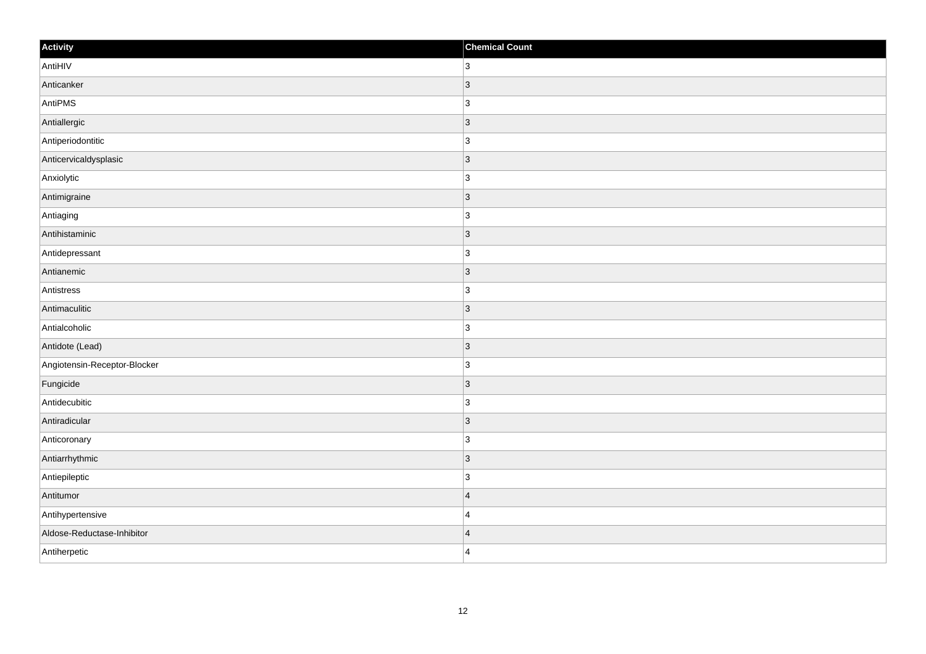| Activity                     | <b>Chemical Count</b> |
|------------------------------|-----------------------|
| AntiHIV                      | $\overline{3}$        |
| Anticanker                   | $\vert 3 \vert$       |
| AntiPMS                      | $\overline{3}$        |
| Antiallergic                 | $ 3\rangle$           |
| Antiperiodontitic            | $\overline{3}$        |
| Anticervicaldysplasic        | $\vert 3 \vert$       |
| Anxiolytic                   | 3                     |
| Antimigraine                 | $\overline{3}$        |
| Antiaging                    | $\overline{3}$        |
| Antihistaminic               | $\vert 3 \vert$       |
| Antidepressant               | $\overline{3}$        |
| Antianemic                   | $\vert$ 3             |
| Antistress                   | $\overline{3}$        |
| Antimaculitic                | $\vert$ 3             |
| Antialcoholic                | 3                     |
| Antidote (Lead)              | $\vert$ 3             |
| Angiotensin-Receptor-Blocker | $\overline{3}$        |
| Fungicide                    | 3                     |
| Antidecubitic                | $\overline{3}$        |
| Antiradicular                | $\vert$ 3             |
| Anticoronary                 | 3                     |
| Antiarrhythmic               | $\vert 3 \vert$       |
| Antiepileptic                | 3                     |
| Antitumor                    | $\vert 4 \vert$       |
| Antihypertensive             | $\overline{4}$        |
| Aldose-Reductase-Inhibitor   | $\overline{4}$        |
| Antiherpetic                 | $\overline{4}$        |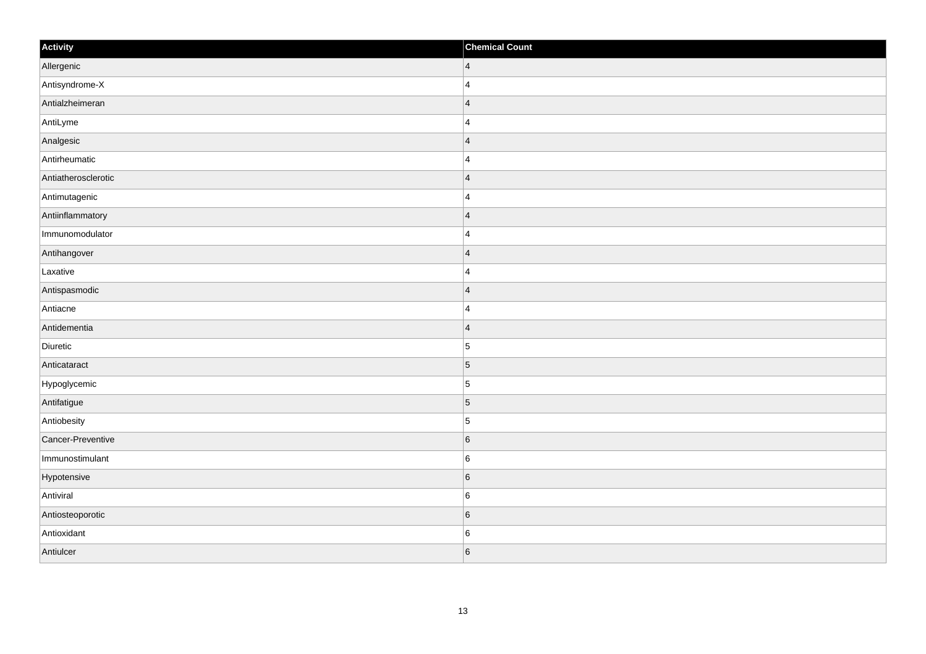| Activity            | <b>Chemical Count</b>   |
|---------------------|-------------------------|
| Allergenic          | $\vert 4 \vert$         |
| Antisyndrome-X      | $\overline{4}$          |
| Antialzheimeran     | $\overline{4}$          |
| AntiLyme            | $\overline{4}$          |
| Analgesic           | $\overline{4}$          |
| Antirheumatic       | 4                       |
| Antiatherosclerotic | $\overline{\mathbf{4}}$ |
| Antimutagenic       | $\overline{4}$          |
| Antiinflammatory    | $\vert 4 \vert$         |
| Immunomodulator     | $\overline{4}$          |
| Antihangover        | $\overline{4}$          |
| Laxative            | $\overline{4}$          |
| Antispasmodic       | $\overline{4}$          |
| Antiacne            | $\overline{4}$          |
| Antidementia        | $\vert 4 \vert$         |
| Diuretic            | $\overline{5}$          |
| Anticataract        | $\overline{5}$          |
| Hypoglycemic        | $\overline{5}$          |
| Antifatigue         | $\overline{5}$          |
| Antiobesity         | $\sqrt{5}$              |
| Cancer-Preventive   | 6                       |
| Immunostimulant     | $6\phantom{.}6$         |
| Hypotensive         | $6\overline{6}$         |
| Antiviral           | $6\phantom{.}6$         |
| Antiosteoporotic    | $\,$ 6 $\,$             |
| Antioxidant         | $\,6$                   |
| Antiulcer           | 6                       |